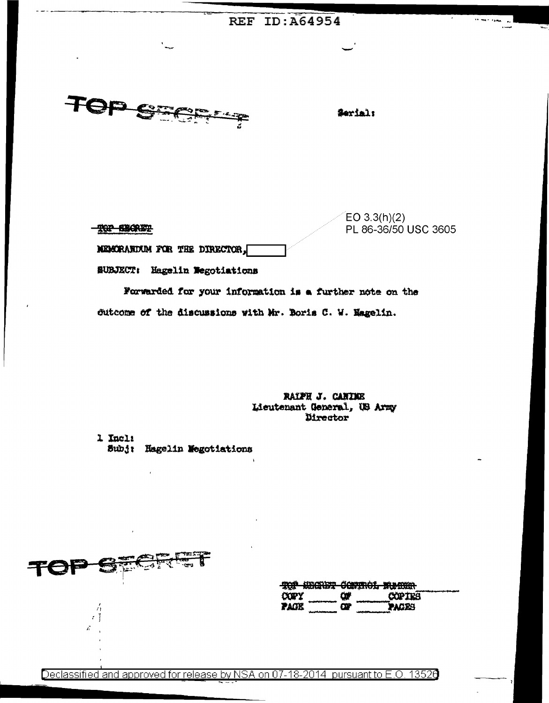## **REF ID: A64954**

TOP SECR

TOP SECRET

Serial:

 $EO 3.3(h)(2)$ PL 86-36/50 USC 3605 MEMORANDUM FOR THE DIRECTOR,

SUBJECT: Hagelin Wegotiations

Forwarded for your information is a further note on the dutcome of the discussions with Mr. Boris C. W. Magelin.

> RAIPH J. CANINE Licutenant General, US Army Director

1 Incl: Subj: Hagelin Megotiations

| -- | .<br><b>Constitution</b><br>$3 - 4$ $\frac{1}{2}$ |
|----|---------------------------------------------------|
|----|---------------------------------------------------|

Á  $\cdot$  T ň

|             |   | MAĞ URAGDA AANADAI WEARA          |  |
|-------------|---|-----------------------------------|--|
|             |   | <b>YAT KANGASI AMIINAN WASAMI</b> |  |
| <b>COPY</b> | œ | <b>COPIES</b>                     |  |
| race        | œ | <b>PACES</b>                      |  |

Declassified and approved for release by NSA on 07-18-2014 pursuant to E.O. 13526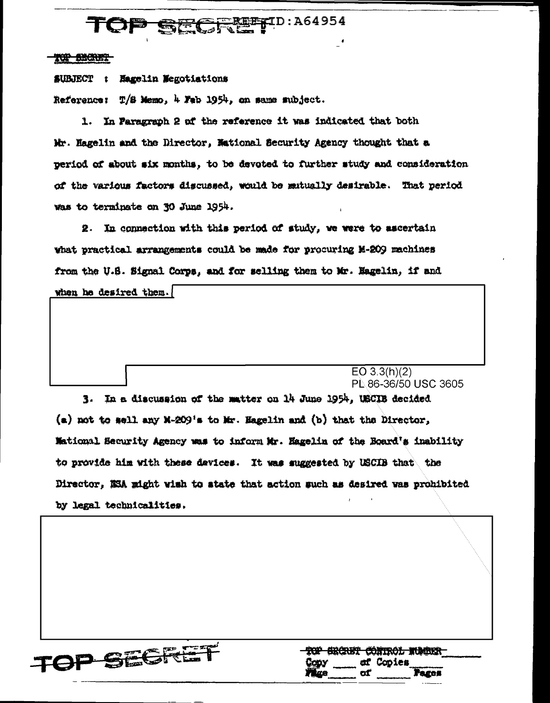## **SFREETID: A64954** TOI <del>D SH(</del>

## TOP BECKET

SUBJECT : Hagelin Megotiations

Reference: T/S Memo, 4 Feb 1954, on same mubject.

1. In Paragraph 2 of the reference it was indicated that both Mr. Hagelin and the Director, Mational Security Agency thought that a period of about six months, to be devoted to further study and consideration of the various factors discussed, would be mutually desirable. That period was to terminate on 30 June 1954.

2. In connection with this period of study, we were to ascertain what practical arrangements could be made for procuring M-209 machines from the U.S. Signal Corps, and for selling them to Mr. Magelin, if and

when he desired them.

 $EO$  3.3(h)(2) PL 86-36/50 USC 3605

3. In a discussion of the matter on 14 June 1954, USCIB decided  $(a)$  not to sell any M-209's to Mr. Hagelin and  $(b)$  that the Director, Mational Security Agency was to inform Mr. Eagelin of the Board's inability to provide him with these davices. It was suggested by USCIB that the Director, NSA might wish to state that action such as desired was prohibited by legal technicalities.



TOP SECRET CONTROL NUMBER ef Copies Cooy Pages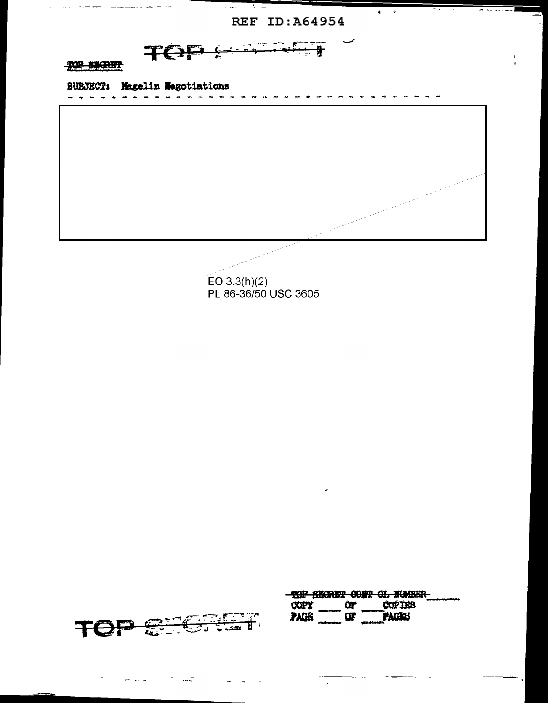REF ID: A64954

 $\pmb{\ast}$  $\ddot{\bullet}$   $-$ 

 $\frac{1}{\sqrt{2}}$  $\overline{\mathcal{L}_{\mathcal{F}}}$  $\sim$ TOP <del>. . .</del>

## TOP SECRET

SURJECT: Magelin Megotiations ------------------------

سام

EO 3.3(h)(2)<br>PL 86-36/50 USC 3605

| ついす アイ・アール<br><u> 국회 대표</u><br>in a contract of<br>$  -$ |
|----------------------------------------------------------|
|                                                          |

|             |          | HIND ORMAND RAIN AT WAINOO    |  |
|-------------|----------|-------------------------------|--|
|             |          | ANE MARAINIS VVES VIA AVRUMAT |  |
| <b>COPY</b> | œ        | <b>COPIES</b>                 |  |
|             |          |                               |  |
| <b>TAGE</b> | $\alpha$ | <b>PACKS</b>                  |  |
|             |          |                               |  |
|             |          |                               |  |